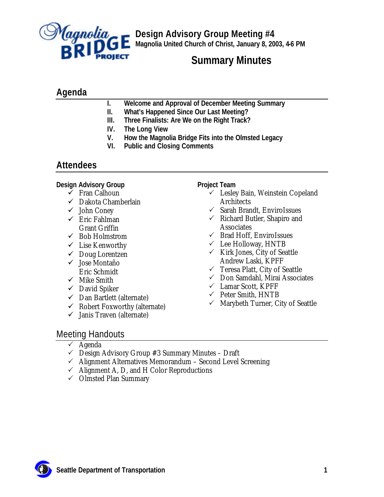

**Design Advisory Group Meeting #4 Magnolia United Church of Christ, January 8, 2003, 4-6 PM**

# **Summary Minutes**

# **Agenda**

- **I. Welcome and Approval of December Meeting Summary**
- **II. What's Happened Since Our Last Meeting?**
- **III. Three Finalists: Are We on the Right Track?**
- **IV. The Long View**
- **V. How the Magnolia Bridge Fits into the Olmsted Legacy**
- **VI. Public and Closing Comments**

## **Attendees**

**Design Advisory Group**

- $\checkmark$  Fran Calhoun
- $\checkmark$  Dakota Chamberlain
- $\checkmark$  John Coney
- $\checkmark$  Eric Fahlman Grant Griffin
- $\checkmark$  Bob Holmstrom
- $\checkmark$  Lise Kenworthy
- $\checkmark$  Doug Lorentzen
- $\checkmark$  Jose Montaño Eric Schmidt
- $\checkmark$  Mike Smith
- $\checkmark$  David Spiker
- $\checkmark$  Dan Bartlett (alternate)
- $\checkmark$  Robert Foxworthy (alternate)
- $\checkmark$  Janis Traven (alternate)

**Project Team**

- $\checkmark$  Lesley Bain, Weinstein Copeland Architects
- $\checkmark$  Sarah Brandt, EnviroIssues
- $\checkmark$  Richard Butler, Shapiro and **Associates**
- $\checkmark$  Brad Hoff, EnviroIssues
- $\checkmark$  Lee Holloway, HNTB
- $\checkmark$  Kirk Jones, City of Seattle Andrew Laski, KPFF
- $\checkmark$  Teresa Platt, City of Seattle
- $\checkmark$  Don Samdahl, Mirai Associates
- $\checkmark$  Lamar Scott, KPFF
- $\checkmark$  Peter Smith, HNTB
- $\checkmark$  Marybeth Turner, City of Seattle

# Meeting Handouts

- $\checkmark$  Agenda
- $\checkmark$  Design Advisory Group #3 Summary Minutes Draft
- $\checkmark$  Alignment Alternatives Memorandum Second Level Screening
- $\checkmark$  Alignment A, D, and H Color Reproductions
- $\checkmark$  Olmsted Plan Summary

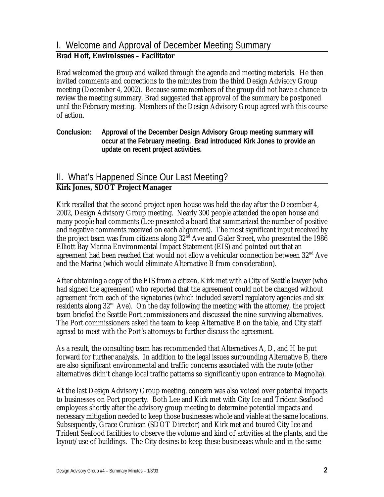# I. Welcome and Approval of December Meeting Summary

#### **Brad Hoff, EnviroIssues – Facilitator**

Brad welcomed the group and walked through the agenda and meeting materials. He then invited comments and corrections to the minutes from the third Design Advisory Group meeting (December 4, 2002). Because some members of the group did not have a chance to review the meeting summary, Brad suggested that approval of the summary be postponed until the February meeting. Members of the Design Advisory Group agreed with this course of action.

**Conclusion: Approval of the December Design Advisory Group meeting summary will occur at the February meeting. Brad introduced Kirk Jones to provide an update on recent project activities.**

## II. What's Happened Since Our Last Meeting?

#### **Kirk Jones, SDOT Project Manager**

Kirk recalled that the second project open house was held the day after the December 4, 2002, Design Advisory Group meeting. Nearly 300 people attended the open house and many people had comments (Lee presented a board that summarized the number of positive and negative comments received on each alignment). The most significant input received by the project team was from citizens along 32<sup>nd</sup> Ave and Galer Street, who presented the 1986 Elliott Bay Marina Environmental Impact Statement (EIS) and pointed out that an agreement had been reached that would not allow a vehicular connection between  $32<sup>nd</sup>$  Ave and the Marina (which would eliminate Alternative B from consideration).

After obtaining a copy of the EIS from a citizen, Kirk met with a City of Seattle lawyer (who had signed the agreement) who reported that the agreement could not be changed without agreement from each of the signatories (which included several regulatory agencies and six residents along  $32<sup>nd</sup>$  Ave). On the day following the meeting with the attorney, the project team briefed the Seattle Port commissioners and discussed the nine surviving alternatives. The Port commissioners asked the team to keep Alternative B on the table, and City staff agreed to meet with the Port's attorneys to further discuss the agreement.

As a result, the consulting team has recommended that Alternatives A, D, and H be put forward for further analysis. In addition to the legal issues surrounding Alternative B, there are also significant environmental and traffic concerns associated with the route (other alternatives didn't change local traffic patterns so significantly upon entrance to Magnolia).

At the last Design Advisory Group meeting, concern was also voiced over potential impacts to businesses on Port property. Both Lee and Kirk met with City Ice and Trident Seafood employees shortly after the advisory group meeting to determine potential impacts and necessary mitigation needed to keep those businesses whole and viable at the same locations. Subsequently, Grace Crunican (SDOT Director) and Kirk met and toured City Ice and Trident Seafood facilities to observe the volume and kind of activities at the plants, and the layout/use of buildings. The City desires to keep these businesses whole and in the same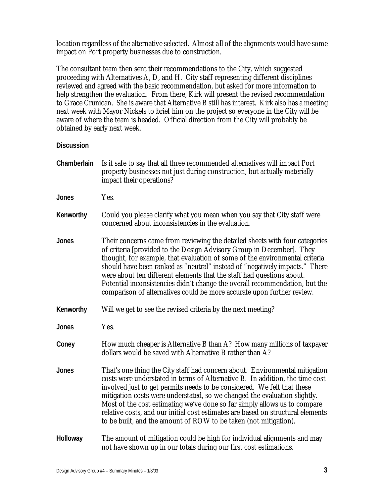location regardless of the alternative selected. Almost a ll of the alignments would have some impact on Port property businesses due to construction.

The consultant team then sent their recommendations to the City, which suggested proceeding with Alternatives A, D, and H. City staff representing different disciplines reviewed and agreed with the basic recommendation, but asked for more information to help strengthen the evaluation. From there, Kirk will present the revised recommendation to Grace Crunican. She is aware that Alternative B still has interest. Kirk also has a meeting next week with Mayor Nickels to brief him on the project so everyone in the City will be aware of where the team is headed. Official direction from the City will probably be obtained by early next week.

| Chamberlain | Is it safe to say that all three recommended alternatives will impact Port<br>property businesses not just during construction, but actually materially<br>impact their operations?                                                                                                                                                                                                                                                                                                                                                                     |
|-------------|---------------------------------------------------------------------------------------------------------------------------------------------------------------------------------------------------------------------------------------------------------------------------------------------------------------------------------------------------------------------------------------------------------------------------------------------------------------------------------------------------------------------------------------------------------|
| Jones       | Yes.                                                                                                                                                                                                                                                                                                                                                                                                                                                                                                                                                    |
| Kenworthy   | Could you please clarify what you mean when you say that City staff were<br>concerned about inconsistencies in the evaluation.                                                                                                                                                                                                                                                                                                                                                                                                                          |
| Jones       | Their concerns came from reviewing the detailed sheets with four categories<br>of criteria [provided to the Design Advisory Group in December]. They<br>thought, for example, that evaluation of some of the environmental criteria<br>should have been ranked as "neutral" instead of "negatively impacts." There<br>were about ten different elements that the staff had questions about.<br>Potential inconsistencies didn't change the overall recommendation, but the<br>comparison of alternatives could be more accurate upon further review.    |
| Kenworthy   | Will we get to see the revised criteria by the next meeting?                                                                                                                                                                                                                                                                                                                                                                                                                                                                                            |
| Jones       | Yes.                                                                                                                                                                                                                                                                                                                                                                                                                                                                                                                                                    |
| Coney       | How much cheaper is Alternative B than A? How many millions of taxpayer<br>dollars would be saved with Alternative B rather than A?                                                                                                                                                                                                                                                                                                                                                                                                                     |
| Jones       | That's one thing the City staff had concern about. Environmental mitigation<br>costs were understated in terms of Alternative B. In addition, the time cost<br>involved just to get permits needs to be considered. We felt that these<br>mitigation costs were understated, so we changed the evaluation slightly.<br>Most of the cost estimating we've done so far simply allows us to compare<br>relative costs, and our initial cost estimates are based on structural elements<br>to be built, and the amount of ROW to be taken (not mitigation). |
| Holloway    | The amount of mitigation could be high for individual alignments and may<br>not have shown up in our totals during our first cost estimations.                                                                                                                                                                                                                                                                                                                                                                                                          |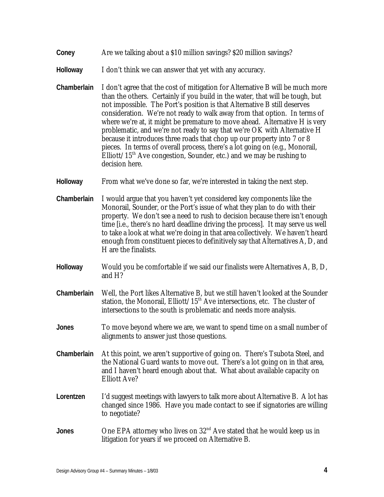- **Coney** Are we talking about a \$10 million savings? \$20 million savings?
- **Holloway** I don't think we can answer that yet with any accuracy.
- **Chamberlain** I don't agree that the cost of mitigation for Alternative B will be much more than the others. Certainly if you build in the water, that will be tough, but not impossible. The Port's position is that Alternative B still deserves consideration. We're not ready to walk away from that option. In terms of where we're at, it might be premature to move ahead. Alternative H is very problematic, and we're not ready to say that we're OK with Alternative H because it introduces three roads that chop up our property into 7 or 8 pieces. In terms of overall process, there's a lot going on (e.g., Monorail, Elliott/15<sup>th</sup> Ave congestion, Sounder, etc.) and we may be rushing to decision here.
- **Holloway** From what we've done so far, we're interested in taking the next step.
- **Chamberlain** I would argue that you haven't yet considered key components like the Monorail, Sounder, or the Port's issue of what they plan to do with their property. We don't see a need to rush to decision because there isn't enough time [i.e., there's no hard deadline driving the process]. It may serve us well to take a look at what we're doing in that area collectively. We haven't heard enough from constituent pieces to definitively say that Alternatives A, D, and H are the finalists.
- **Holloway** Would you be comfortable if we said our finalists were Alternatives A, B, D, and H?
- **Chamberlain** Well, the Port likes Alternative B, but we still haven't looked at the Sounder station, the Monorail, Elliott/ $15<sup>th</sup>$  Ave intersections, etc. The cluster of intersections to the south is problematic and needs more analysis.
- **Jones** To move beyond where we are, we want to spend time on a small number of alignments to answer just those questions.
- **Chamberlain** At this point, we aren't supportive of going on. There's Tsubota Steel, and the National Guard wants to move out. There's a lot going on in that area, and I haven't heard enough about that. What about available capacity on Elliott Ave?
- Lorentzen I'd suggest meetings with lawyers to talk more about Alternative B. A lot has changed since 1986. Have you made contact to see if signatories are willing to negotiate?
- **Jones** One EPA attorney who lives on 32<sup>nd</sup> Ave stated that he would keep us in litigation for years if we proceed on Alternative B.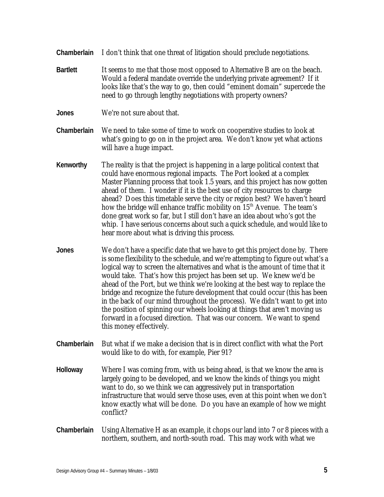- **Chamberlain** I don't think that one threat of litigation should preclude negotiations.
- **Bartlett** It seems to me that those most opposed to Alternative B are on the beach. Would a federal mandate override the underlying private agreement? If it looks like that's the way to go, then could "eminent domain" supercede the need to go through lengthy negotiations with property owners?
- **Jones** We're not sure about that.
- **Chamberlain** We need to take some of time to work on cooperative studies to look at what's going to go on in the project area. We don't know yet what actions will have a huge impact.
- **Kenworthy** The reality is that the project is happening in a large political context that could have enormous regional impacts. The Port looked at a complex Master Planning process that took 1.5 years, and this project has now gotten ahead of them. I wonder if it is the best use of city resources to charge ahead? Does this timetable serve the city or region best? We haven't heard how the bridge will enhance traffic mobility on  $15<sup>th</sup>$  Avenue. The team's done great work so far, but I still don't have an idea about who's got the whip. I have serious concerns about such a quick schedule, and would like to hear more about what is driving this process.
- **Jones** We don't have a specific date that we have to get this project done by. There is some flexibility to the schedule, and we're attempting to figure out what's a logical way to screen the alternatives and what is the amount of time that it would take. That's how this project has been set up. We knew we'd be ahead of the Port, but we think we're looking at the best way to replace the bridge and recognize the future development that could occur (this has been in the back of our mind throughout the process). We didn't want to get into the position of spinning our wheels looking at things that aren't moving us forward in a focused direction. That was our concern. We want to spend this money effectively.
- **Chamberlain** But what if we make a decision that is in direct conflict with what the Port would like to do with, for example, Pier 91?
- **Holloway** Where I was coming from, with us being ahead, is that we know the area is largely going to be developed, and we know the kinds of things you might want to do, so we think we can aggressively put in transportation infrastructure that would serve those uses, even at this point when we don't know exactly what will be done. Do you have an example of how we might conflict?
- **Chamberlain** Using Alternative H as an example, it chops our land into 7 or 8 pieces with a northern, southern, and north-south road. This may work with what we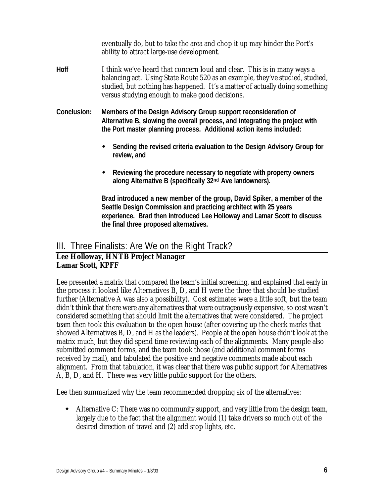eventually do, but to take the area and chop it up may hinder the Port's ability to attract large-use development.

- **Hoff** I think we've heard that concern loud and clear. This is in many ways a balancing act. Using State Route 520 as an example, they've studied, studied, studied, but nothing has happened. It's a matter of actually doing something versus studying enough to make good decisions.
- **Conclusion: Members of the Design Advisory Group support reconsideration of Alternative B, slowing the overall process, and integrating the project with the Port master planning process. Additional action items included:**
	- **EXECT:** Sending the revised criteria evaluation to the Design Advisory Group for **review, and**
	- w **Reviewing the procedure necessary to negotiate with property owners along Alternative B (specifically 32nd Ave landowners).**

**Brad introduced a new member of the group, David Spiker, a member of the Seattle Design Commission and practicing architect with 25 years experience. Brad then introduced Lee Holloway and Lamar Scott to discuss the final three proposed alternatives.**

## III. Three Finalists: Are We on the Right Track?

#### **Lee Holloway, HNTB Project Manager Lamar Scott, KPFF**

Lee presented a matrix that compared the team's initial screening, and explained that early in the process it looked like Alternatives B, D, and H were the three that should be studied further (Alternative A was also a possibility). Cost estimates were a little soft, but the team didn't think that there were any alternatives that were outrageously expensive, so cost wasn't considered something that should limit the alternatives that were considered. The project team then took this evaluation to the open house (after covering up the check marks that showed Alternatives B, D, and H as the leaders). People at the open house didn't look at the matrix much, but they did spend time reviewing each of the alignments. Many people also submitted comment forms, and the team took those (and additional comment forms received by mail), and tabulated the positive and negative comments made about each alignment. From that tabulation, it was clear that there was public support for Alternatives A, B, D, and H. There was very little public support for the others.

Lee then summarized why the team recommended dropping six of the alternatives:

 $\bullet$  Alternative C: There was no community support, and very little from the design team, largely due to the fact that the alignment would (1) take drivers so much out of the desired direction of travel and (2) add stop lights, etc.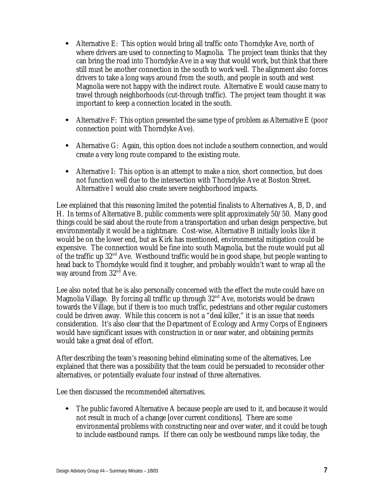- $\bullet$  Alternative E: This option would bring all traffic onto Thorndyke Ave, north of where drivers are used to connecting to Magnolia. The project team thinks that they can bring the road into Thorndyke Ave in a way that would work, but think that there still must be another connection in the south to work well. The alignment also forces drivers to take a long ways around from the south, and people in south and west Magnolia were not happy with the indirect route. Alternative E would cause many to travel through neighborhoods (cut-through traffic). The project team thought it was important to keep a connection located in the south.
- $\bullet$  Alternative F: This option presented the same type of problem as Alternative E (poor connection point with Thorndyke Ave).
- Alternative G: Again, this option does not include a southern connection, and would create a very long route compared to the existing route.
- Alternative I: This option is an attempt to make a nice, short connection, but does not function well due to the intersection with Thorndyke Ave at Boston Street. Alternative I would also create severe neighborhood impacts.

Lee explained that this reasoning limited the potential finalists to Alternatives A, B, D, and H. In terms of Alternative B, public comments were split approximately 50/50. Many good things could be said about the route from a transportation and urban design perspective, but environmentally it would be a nightmare. Cost-wise, Alternative B initially looks like it would be on the lower end, but as Kirk has mentioned, environmental mitigation could be expensive. The connection would be fine into south Magnolia, but the route would put all of the traffic up  $32<sup>nd</sup>$  Ave. Westbound traffic would be in good shape, but people wanting to head back to Thorndyke would find it tougher, and probably wouldn't want to wrap all the way around from  $32<sup>nd</sup>$  Ave.

Lee also noted that he is also personally concerned with the effect the route could have on Magnolia Village. By forcing all traffic up through  $32<sup>nd</sup>$  Ave, motorists would be drawn towards the Village, but if there is too much traffic, pedestrians and other regular customers could be driven away. While this concern is not a "deal killer," it is an issue that needs consideration. It's also clear that the Department of Ecology and Army Corps of Engineers would have significant issues with construction in or near water, and obtaining permits would take a great deal of effort.

After describing the team's reasoning behind eliminating some of the alternatives, Lee explained that there was a possibility that the team could be persuaded to reconsider other alternatives, or potentially evaluate four instead of three alternatives.

Lee then discussed the recommended alternatives.

• The public favored Alternative A because people are used to it, and because it would not result in much of a change [over current conditions]. There are some environmental problems with constructing near and over water, and it could be tough to include eastbound ramps. If there can only be westbound ramps like today, the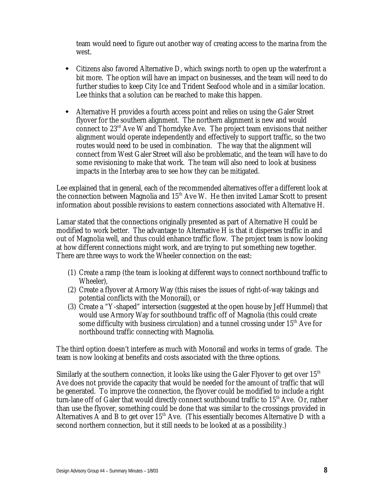team would need to figure out another way of creating access to the marina from the west.

- Citizens also favored Alternative D, which swings north to open up the waterfront a bit more. The option will have an impact on businesses, and the team will need to do further studies to keep City Ice and Trident Seafood whole and in a similar location. Lee thinks that a solution can be reached to make this happen.
- w Alternative H provides a fourth access point and relies on using the Galer Street flyover for the southern alignment. The northern alignment is new and would connect to  $23<sup>rd</sup>$  Ave W and Thorndyke Ave. The project team envisions that neither alignment would operate independently and effectively to support traffic, so the two routes would need to be used in combination. The way that the alignment will connect from West Galer Street will also be problematic, and the team will have to do some revisioning to make that work. The team will also need to look at business impacts in the Interbay area to see how they can be mitigated.

Lee explained that in general, each of the recommended alternatives offer a different look at the connection between Magnolia and  $15<sup>th</sup>$  Ave W. He then invited Lamar Scott to present information about possible revisions to eastern connections associated with Alternative H.

Lamar stated that the connections originally presented as part of Alternative H could be modified to work better. The advantage to Alternative H is that it disperses traffic in and out of Magnolia well, and thus could enhance traffic flow. The project team is now looking at how different connections might work, and are trying to put something new together. There are three ways to work the Wheeler connection on the east:

- (1) Create a ramp (the team is looking at different ways to connect northbound traffic to Wheeler),
- (2) Create a flyover at Armory Way (this raises the issues of right-of-way takings and potential conflicts with the Monorail), or
- (3) Create a "Y-shaped" intersection (suggested at the open house by Jeff Hummel) that would use Armory Way for southbound traffic off of Magnolia (this could create some difficulty with business circulation) and a tunnel crossing under  $15<sup>th</sup>$  Ave for northbound traffic connecting with Magnolia.

The third option doesn't interfere as much with Monorail and works in terms of grade. The team is now looking at benefits and costs associated with the three options.

Similarly at the southern connection, it looks like using the Galer Flyover to get over  $15<sup>th</sup>$ Ave does not provide the capacity that would be needed for the amount of traffic that will be generated. To improve the connection, the flyover could be modified to include a right turn-lane off of Galer that would directly connect southbound traffic to 15<sup>th</sup> Ave. Or, rather than use the flyover, something could be done that was similar to the crossings provided in Alternatives A and B to get over  $15<sup>th</sup>$  Ave. (This essentially becomes Alternative D with a second northern connection, but it still needs to be looked at as a possibility.)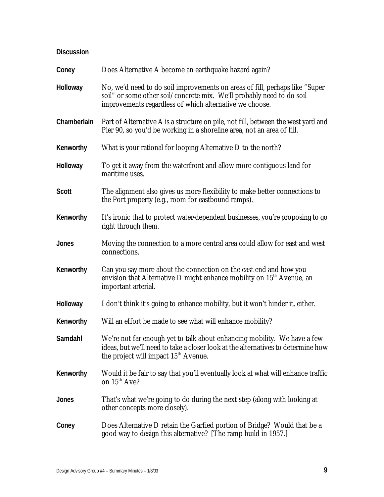| Coney        | Does Alternative A become an earthquake hazard again?                                                                                                                                                            |
|--------------|------------------------------------------------------------------------------------------------------------------------------------------------------------------------------------------------------------------|
| Holloway     | No, we'd need to do soil improvements on areas of fill, perhaps like "Super"<br>soil" or some other soil/concrete mix. We'll probably need to do soil<br>improvements regardless of which alternative we choose. |
| Chamberlain  | Part of Alternative A is a structure on pile, not fill, between the west yard and<br>Pier 90, so you'd be working in a shoreline area, not an area of fill.                                                      |
| Kenworthy    | What is your rational for looping Alternative D to the north?                                                                                                                                                    |
| Holloway     | To get it away from the waterfront and allow more contiguous land for<br>maritime uses.                                                                                                                          |
| <b>Scott</b> | The alignment also gives us more flexibility to make better connections to<br>the Port property (e.g., room for eastbound ramps).                                                                                |
| Kenworthy    | It's ironic that to protect water-dependent businesses, you're proposing to go<br>right through them.                                                                                                            |
| <b>Jones</b> | Moving the connection to a more central area could allow for east and west<br>connections.                                                                                                                       |
| Kenworthy    | Can you say more about the connection on the east end and how you<br>envision that Alternative D might enhance mobility on 15 <sup>th</sup> Avenue, an<br>important arterial.                                    |
| Holloway     | I don't think it's going to enhance mobility, but it won't hinder it, either.                                                                                                                                    |
| Kenworthy    | Will an effort be made to see what will enhance mobility?                                                                                                                                                        |
| Samdahl      | We're not far enough yet to talk about enhancing mobility. We have a few<br>ideas, but we'll need to take a closer look at the alternatives to determine how<br>the project will impact 15 <sup>th</sup> Avenue. |
| Kenworthy    | Would it be fair to say that you'll eventually look at what will enhance traffic<br>on $15^{th}$ Ave?                                                                                                            |
| <b>Jones</b> | That's what we're going to do during the next step (along with looking at<br>other concepts more closely).                                                                                                       |
| Coney        | Does Alternative D retain the Garfied portion of Bridge? Would that be a<br>good way to design this alternative? [The ramp build in 1957.]                                                                       |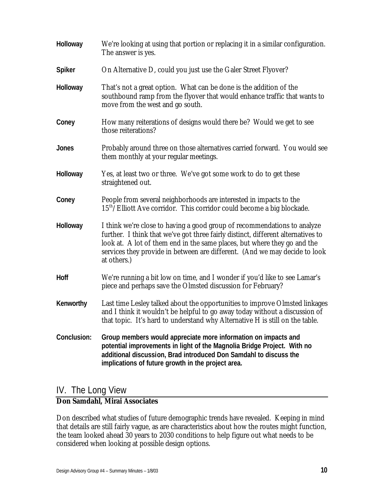| Holloway      | We're looking at using that portion or replacing it in a similar configuration.<br>The answer is yes.                                                                                                                                                                                                                                 |
|---------------|---------------------------------------------------------------------------------------------------------------------------------------------------------------------------------------------------------------------------------------------------------------------------------------------------------------------------------------|
| <b>Spiker</b> | On Alternative D, could you just use the Galer Street Flyover?                                                                                                                                                                                                                                                                        |
| Holloway      | That's not a great option. What can be done is the addition of the<br>southbound ramp from the flyover that would enhance traffic that wants to<br>move from the west and go south.                                                                                                                                                   |
| Coney         | How many reiterations of designs would there be? Would we get to see<br>those reiterations?                                                                                                                                                                                                                                           |
| <b>Jones</b>  | Probably around three on those alternatives carried forward. You would see<br>them monthly at your regular meetings.                                                                                                                                                                                                                  |
| Holloway      | Yes, at least two or three. We've got some work to do to get these<br>straightened out.                                                                                                                                                                                                                                               |
| Coney         | People from several neighborhoods are interested in impacts to the<br>15 <sup>th</sup> /Elliott Ave corridor. This corridor could become a big blockade.                                                                                                                                                                              |
| Holloway      | I think we're close to having a good group of recommendations to analyze<br>further. I think that we've got three fairly distinct, different alternatives to<br>look at. A lot of them end in the same places, but where they go and the<br>services they provide in between are different. (And we may decide to look<br>at others.) |
| Hoff          | We're running a bit low on time, and I wonder if you'd like to see Lamar's<br>piece and perhaps save the Olmsted discussion for February?                                                                                                                                                                                             |
| Kenworthy     | Last time Lesley talked about the opportunities to improve Olmsted linkages<br>and I think it wouldn't be helpful to go away today without a discussion of<br>that topic. It's hard to understand why Alternative H is still on the table.                                                                                            |
| Conclusion:   | Group members would appreciate more information on impacts and<br>potential improvements in light of the Magnolia Bridge Project. With no<br>additional discussion, Brad introduced Don Samdahl to discuss the<br>implications of future growth in the project area.                                                                  |

## IV. The Long View

#### **Don Samdahl, Mirai Associates**

Don described what studies of future demographic trends have revealed. Keeping in mind that details are still fairly vague, as are characteristics about how the routes might function, the team looked ahead 30 years to 2030 conditions to help figure out what needs to be considered when looking at possible design options.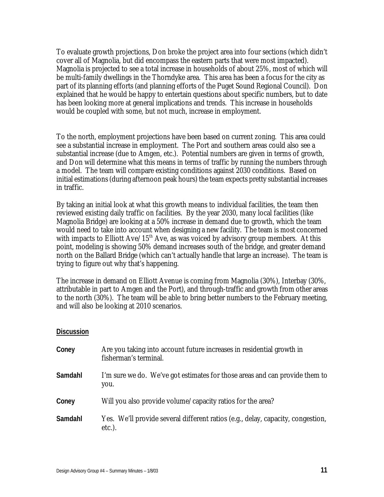To evaluate growth projections, Don broke the project area into four sections (which didn't cover all of Magnolia, but did encompass the eastern parts that were most impacted). Magnolia is projected to see a total increase in households of about 25%, most of which will be multi-family dwellings in the Thorndyke area. This area has been a focus for the city as part of its planning efforts (and planning efforts of the Puget Sound Regional Council). Don explained that he would be happy to entertain questions about specific numbers, but to date has been looking more at general implications and trends. This increase in households would be coupled with some, but not much, increase in employment.

To the north, employment projections have been based on current zoning. This area could see a substantial increase in employment. The Port and southern areas could also see a substantial increase (due to Amgen, etc.). Potential numbers are given in terms of growth, and Don will determine what this means in terms of traffic by running the numbers through a model. The team will compare existing conditions against 2030 conditions. Based on initial estimations (during afternoon peak hours) the team expects pretty substantial increases in traffic.

By taking an initial look at what this growth means to individual facilities, the team then reviewed existing daily traffic on facilities. By the year 2030, many local facilities (like Magnolia Bridge) are looking at a 50% increase in demand due to growth, which the team would need to take into account when designing a new facility. The team is most concerned with impacts to Elliott Ave/ $15<sup>th</sup>$  Ave, as was voiced by advisory group members. At this point, modeling is showing 50% demand increases south of the bridge, and greater demand north on the Ballard Bridge (which can't actually handle that large an increase). The team is trying to figure out why that's happening.

The increase in demand on Elliott Avenue is coming from Magnolia (30%), Interbay (30%, attributable in part to Amgen and the Port), and through-traffic and growth from other areas to the north (30%). The team will be able to bring better numbers to the February meeting, and will also be looking at 2010 scenarios.

| Coney   | Are you taking into account future increases in residential growth in<br>fisherman's terminal. |
|---------|------------------------------------------------------------------------------------------------|
| Samdahl | I'm sure we do. We've got estimates for those areas and can provide them to<br>you.            |
| Coney   | Will you also provide volume/capacity ratios for the area?                                     |
| Samdahl | Yes. We'll provide several different ratios (e.g., delay, capacity, congestion,<br>$etc.$ ).   |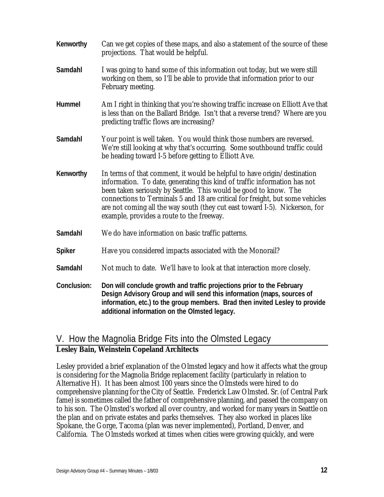| Kenworthy     | Can we get copies of these maps, and also a statement of the source of these<br>projections. That would be helpful.                                                                                                                                                                                                                                                                                                                    |
|---------------|----------------------------------------------------------------------------------------------------------------------------------------------------------------------------------------------------------------------------------------------------------------------------------------------------------------------------------------------------------------------------------------------------------------------------------------|
| Samdahl       | I was going to hand some of this information out today, but we were still<br>working on them, so I'll be able to provide that information prior to our<br>February meeting.                                                                                                                                                                                                                                                            |
| Hummel        | Am I right in thinking that you're showing traffic increase on Elliott Ave that<br>is less than on the Ballard Bridge. Isn't that a reverse trend? Where are you<br>predicting traffic flows are increasing?                                                                                                                                                                                                                           |
| Samdahl       | Your point is well taken. You would think those numbers are reversed.<br>We're still looking at why that's occurring. Some southbound traffic could<br>be heading toward I-5 before getting to Elliott Ave.                                                                                                                                                                                                                            |
| Kenworthy     | In terms of that comment, it would be helpful to have origin/destination<br>information. To date, generating this kind of traffic information has not<br>been taken seriously by Seattle. This would be good to know. The<br>connections to Terminals 5 and 18 are critical for freight, but some vehicles<br>are not coming all the way south (they cut east toward I-5). Nickerson, for<br>example, provides a route to the freeway. |
| Samdahl       | We do have information on basic traffic patterns.                                                                                                                                                                                                                                                                                                                                                                                      |
| <b>Spiker</b> | Have you considered impacts associated with the Monorail?                                                                                                                                                                                                                                                                                                                                                                              |
| Samdahl       | Not much to date. We'll have to look at that interaction more closely.                                                                                                                                                                                                                                                                                                                                                                 |
| Conclusion:   | Don will conclude growth and traffic projections prior to the February<br>Design Advisory Group and will send this information (maps, sources of<br>information, etc.) to the group members. Brad then invited Lesley to provide<br>additional information on the Olmsted legacy.                                                                                                                                                      |

# V. How the Magnolia Bridge Fits into the Olmsted Legacy

#### **Lesley Bain, Weinstein Copeland Architects**

Lesley provided a brief explanation of the Olmsted legacy and how it affects what the group is considering for the Magnolia Bridge replacement facility (particularly in relation to Alternative H). It has been almost 100 years since the Olmsteds were hired to do comprehensive planning for the City of Seattle. Frederick Law Olmsted. Sr. (of Central Park fame) is sometimes called the father of comprehensive planning, and passed the company on to his son. The Olmsted's worked all over country, and worked for many years in Seattle on the plan and on private estates and parks themselves. They also worked in places like Spokane, the Gorge, Tacoma (plan was never implemented), Portland, Denver, and California. The Olmsteds worked at times when cities were growing quickly, and were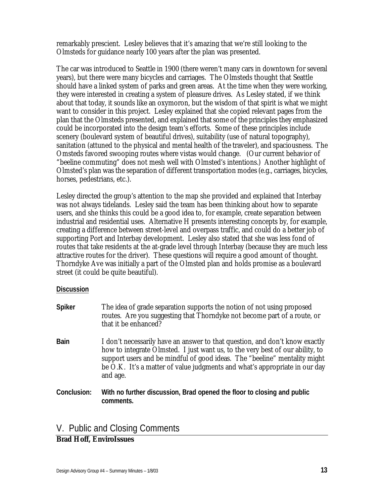remarkably prescient. Lesley believes that it's amazing that we're still looking to the Olmsteds for guidance nearly 100 years after the plan was presented.

The car was introduced to Seattle in 1900 (there weren't many cars in downtown for several years), but there were many bicycles and carriages. The Olmsteds thought that Seattle should have a linked system of parks and green areas. At the time when they were working, they were interested in creating a system of pleasure drives. As Lesley stated, if we think about that today, it sounds like an oxymoron, but the wisdom of that spirit is what we might want to consider in this project. Lesley explained that she copied relevant pages from the plan that the Olmsteds presented, and explained that some of the principles they emphasized could be incorporated into the design team's efforts. Some of these principles include scenery (boulevard system of beautiful drives), suitability (use of natural topography), sanitation (attuned to the physical and mental health of the traveler), and spaciousness. The Omsteds favored swooping routes where vistas would change. (Our current behavior of "beeline commuting" does not mesh well with Olmsted's intentions.) Another highlight of Olmsted's plan was the separation of different transportation modes (e.g., carriages, bicycles, horses, pedestrians, etc.).

Lesley directed the group's attention to the map she provided and explained that Interbay was not always tidelands. Lesley said the team has been thinking about how to separate users, and she thinks this could be a good idea to, for example, create separation between industrial and residential uses. Alternative H presents interesting concepts by, for example, creating a difference between street-level and overpass traffic, and could do a better job of supporting Port and Interbay development. Lesley also stated that she was less fond of routes that take residents at the at-grade level through Interbay (because they are much less attractive routes for the driver). These questions will require a good amount of thought. Thorndyke Ave was initially a part of the Olmsted plan and holds promise as a boulevard street (it could be quite beautiful).

#### **Discussion**

| <b>Spiker</b> | The idea of grade separation supports the notion of not using proposed<br>routes. Are you suggesting that Thorndyke not become part of a route, or<br>that it be enhanced?                                                                                                                                                          |
|---------------|-------------------------------------------------------------------------------------------------------------------------------------------------------------------------------------------------------------------------------------------------------------------------------------------------------------------------------------|
| <b>Bain</b>   | I don't necessarily have an answer to that question, and don't know exactly<br>how to integrate Olmsted. I just want us, to the very best of our ability, to<br>support users and be mindful of good ideas. The "beeline" mentality might<br>be O.K. It's a matter of value judgments and what's appropriate in our day<br>and age. |
| Conclusion:   | With no further discussion, Brad opened the floor to closing and public<br>comments.                                                                                                                                                                                                                                                |

### V. Public and Closing Comments

#### **Brad Hoff, EnviroIssues**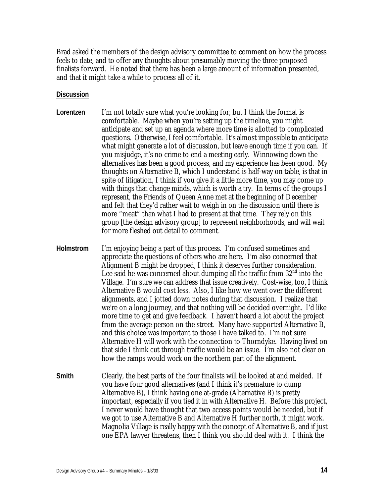Brad asked the members of the design advisory committee to comment on how the process feels to date, and to offer any thoughts about presumably moving the three proposed finalists forward. He noted that there has been a large amount of information presented, and that it might take a while to process all of it.

- **Lorentzen** I'm not totally sure what you're looking for, but I think the format is comfortable. Maybe when you're setting up the timeline, you might anticipate and set up an agenda where more time is allotted to complicated questions. Otherwise, I feel comfortable. It's almost impossible to anticipate what might generate a lot of discussion, but leave enough time if you can. If you misjudge, it's no crime to end a meeting early. Winnowing down the alternatives has been a good process, and my experience has been good. My thoughts on Alternative B, which I understand is half-way on table, is that in spite of litigation, I think if you give it a little more time, you may come up with things that change minds, which is worth a try. In terms of the groups I represent, the Friends of Queen Anne met at the beginning of December and felt that they'd rather wait to weigh in on the discussion until there is more "meat" than what I had to present at that time. They rely on this group [the design advisory group] to represent neighborhoods, and will wait for more fleshed out detail to comment.
- **Holmstrom** I'm enjoying being a part of this process. I'm confused sometimes and appreciate the questions of others who are here. I'm also concerned that Alignment B might be dropped, I think it deserves further consideration. Lee said he was concerned about dumping all the traffic from  $32<sup>nd</sup>$  into the Village. I'm sure we can address that issue creatively. Cost-wise, too, I think Alternative B would cost less. Also, I like how we went over the different alignments, and I jotted down notes during that discussion. I realize that we're on a long journey, and that nothing will be decided overnight. I'd like more time to get and give feedback. I haven't heard a lot about the project from the average person on the street. Many have supported Alternative B, and this choice was important to those I have talked to. I'm not sure Alternative H will work with the connection to Thorndyke. Having lived on that side I think cut through traffic would be an issue. I'm also not clear on how the ramps would work on the northern part of the alignment.
- **Smith** Clearly, the best parts of the four finalists will be looked at and melded. If you have four good alternatives (and I think it's premature to dump Alternative B), I think having one at-grade (Alternative B) is pretty important, especially if you tied it in with Alternative H. Before this project, I never would have thought that two access points would be needed, but if we got to use Alternative B and Alternative H further north, it might work. Magnolia Village is really happy with the concept of Alternative B, and if just one EPA lawyer threatens, then I think you should deal with it. I think the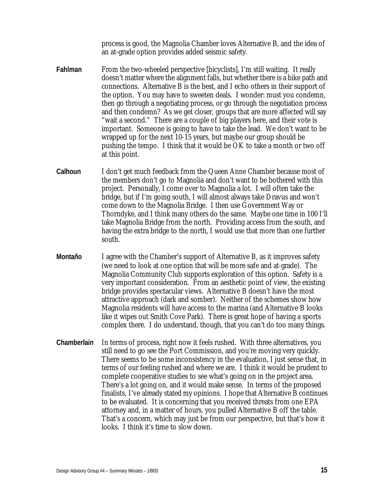process is good, the Magnolia Chamber loves Alternative B, and the idea of an at-grade option provides added seismic safety.

- **Fahlman** From the two-wheeled perspective [bicyclists], I'm still waiting. It really doesn't matter where the alignment falls, but whether there is a bike path and connections. Alternative B is the best, and I echo others in their support of the option. You may have to sweeten deals. I wonder: must you condemn, then go through a negotiating process, or go through the negotiation process and then condemn? As we get closer, groups that are more affected will say "wait a second." There are a couple of big players here, and their vote is important. Someone is going to have to take the lead. We don't want to be wrapped up for the next 10-15 years, but maybe our group should be pushing the tempo. I think that it would be OK to take a month or two off at this point.
- **Calhoun** I don't get much feedback from the Queen Anne Chamber because most of the members don't go to Magnolia and don't want to be bothered with this project. Personally, I come over to Magnolia a lot. I will often take the bridge, but if I'm going south, I will almost always take Dravus and won't come down to the Magnolia Bridge. I then use Government Way or Thorndyke, and I think many others do the same. Maybe one time in 100 I'll take Magnolia Bridge from the north. Providing access from the south, and having the extra bridge to the north, I would use that more than one further south.
- **Montaño** I agree with the Chamber's support of Alternative B, as it improves safety (we need to look at one option that will be more safe and at-grade). The Magnolia Community Club supports exploration of this option. Safety is a very important consideration. From an aesthetic point of view, the existing bridge provides spectacular views. Alternative B doesn't have the most attractive approach (dark and somber). Neither of the schemes show how Magnolia residents will have access to the marina (and Alternative B looks like it wipes out Smith Cove Park). There is great hope of having a sports complex there. I do understand, though, that you can't do too many things.
- **Chamberlain** In terms of process, right now it feels rushed. With three alternatives, you still need to go see the Port Commission, and you're moving very quickly. There seems to be some inconsistency in the evaluation, I just sense that, in terms of our feeling rushed and where we are. I think it would be prudent to complete cooperative studies to see what's going on in the project area. There's a lot going on, and it would make sense. In terms of the proposed finalists, I've already stated my opinions. I hope that Alternative B continues to be evaluated. It is concerning that you received threats from one EPA attorney and, in a matter of hours, you pulled Alternative B off the table. That's a concern, which may just be from our perspective, but that's how it looks. I think it's time to slow down.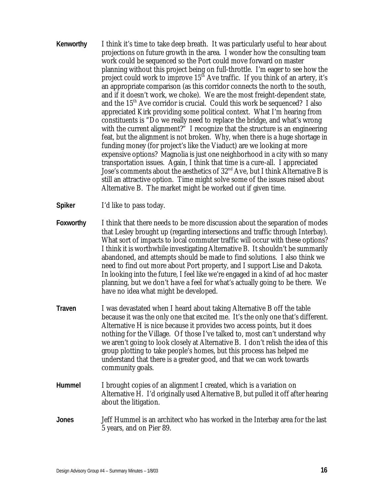- **Kenworthy** I think it's time to take deep breath. It was particularly useful to hear about projections on future growth in the area. I wonder how the consulting team work could be sequenced so the Port could move forward on master planning without this project being on full-throttle. I'm eager to see how the project could work to improve  $15<sup>th</sup>$  Ave traffic. If you think of an artery, it's an appropriate comparison (as this corridor connects the north to the south, and if it doesn't work, we choke). We are the most freight-dependent state, and the  $15<sup>th</sup>$  Ave corridor is crucial. Could this work be sequenced? I also appreciated Kirk providing some political context. What I'm hearing from constituents is "Do we really need to replace the bridge, and what's wrong with the current alignment?" I recognize that the structure is an engineering feat, but the alignment is not broken. Why, when there is a huge shortage in funding money (for project's like the Viaduct) are we looking at more expensive options? Magnolia is just one neighborhood in a city with so many transportation issues. Again, I think that time is a cure-all. I appreciated Jose's comments about the aesthetics of 32nd Ave, but I think Alternative B is still an attractive option. Time might solve some of the issues raised about Alternative B. The market might be worked out if given time.
- **Spiker** I'd like to pass today.
- **Foxworthy** I think that there needs to be more discussion about the separation of modes that Lesley brought up (regarding intersections and traffic through Interbay). What sort of impacts to local commuter traffic will occur with these options? I think it is worthwhile investigating Alternative B. It shouldn't be summarily abandoned, and attempts should be made to find solutions. I also think we need to find out more about Port property, and I support Lise and Dakota. In looking into the future, I feel like we're engaged in a kind of ad hoc master planning, but we don't have a feel for what's actually going to be there. We have no idea what might be developed.
- **Traven** I was devastated when I heard about taking Alternative B off the table because it was the only one that excited me. It's the only one that's different. Alternative H is nice because it provides two access points, but it does nothing for the Village. Of those I've talked to, most can't understand why we aren't going to look closely at Alternative B. I don't relish the idea of this group plotting to take people's homes, but this process has helped me understand that there is a greater good, and that we can work towards community goals.
- **Hummel** I brought copies of an alignment I created, which is a variation on Alternative H. I'd originally used Alternative B, but pulled it off after hearing about the litigation.
- **Jones** Jeff Hummel is an architect who has worked in the Interbay area for the last 5 years, and on Pier 89.